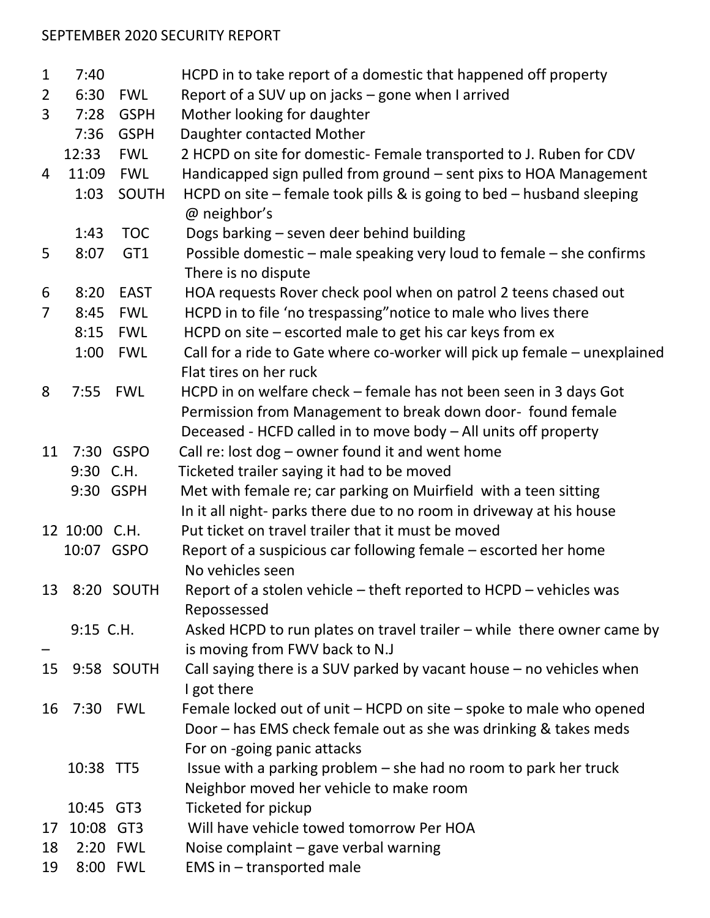## SEPTEMBER 2020 SECURITY REPORT

| $\mathbf{1}$   | 7:40          |                 | HCPD in to take report of a domestic that happened off property                                                                          |
|----------------|---------------|-----------------|------------------------------------------------------------------------------------------------------------------------------------------|
| $\overline{2}$ | 6:30          | <b>FWL</b>      | Report of a SUV up on jacks – gone when I arrived                                                                                        |
| 3              | 7:28          | <b>GSPH</b>     | Mother looking for daughter                                                                                                              |
|                | 7:36          | <b>GSPH</b>     | Daughter contacted Mother                                                                                                                |
|                | 12:33         | <b>FWL</b>      | 2 HCPD on site for domestic- Female transported to J. Ruben for CDV                                                                      |
| 4              | 11:09         | <b>FWL</b>      | Handicapped sign pulled from ground - sent pixs to HOA Management                                                                        |
|                | 1:03          | SOUTH           | HCPD on site $-$ female took pills & is going to bed $-$ husband sleeping<br>@ neighbor's                                                |
|                | 1:43          | <b>TOC</b>      | Dogs barking - seven deer behind building                                                                                                |
| 5              | 8:07          | GT <sub>1</sub> | Possible domestic – male speaking very loud to female – she confirms<br>There is no dispute                                              |
| 6              | 8:20          | <b>EAST</b>     | HOA requests Rover check pool when on patrol 2 teens chased out                                                                          |
| $\overline{7}$ | 8:45          | <b>FWL</b>      | HCPD in to file 'no trespassing" notice to male who lives there                                                                          |
|                | 8:15          | <b>FWL</b>      | HCPD on site – escorted male to get his car keys from ex                                                                                 |
|                | 1:00          | <b>FWL</b>      | Call for a ride to Gate where co-worker will pick up female - unexplained                                                                |
|                |               |                 | Flat tires on her ruck                                                                                                                   |
| 8              | 7:55          | <b>FWL</b>      | HCPD in on welfare check – female has not been seen in 3 days Got                                                                        |
|                |               |                 | Permission from Management to break down door- found female                                                                              |
|                |               |                 | Deceased - HCFD called in to move body - All units off property                                                                          |
| 11             |               | 7:30 GSPO       | Call re: lost dog - owner found it and went home                                                                                         |
|                | 9:30 C.H.     |                 | Ticketed trailer saying it had to be moved                                                                                               |
|                |               | 9:30 GSPH       | Met with female re; car parking on Muirfield with a teen sitting<br>In it all night- parks there due to no room in driveway at his house |
|                | 12 10:00 C.H. |                 | Put ticket on travel trailer that it must be moved                                                                                       |
|                | 10:07 GSPO    |                 | Report of a suspicious car following female – escorted her home                                                                          |
|                |               |                 | No vehicles seen                                                                                                                         |
|                |               | 13 8:20 SOUTH   | Report of a stolen vehicle – theft reported to HCPD – vehicles was                                                                       |
|                |               |                 | Repossessed                                                                                                                              |
|                | 9:15 C.H.     |                 | Asked HCPD to run plates on travel trailer – while there owner came by<br>is moving from FWV back to N.J                                 |
| 15             |               | 9:58 SOUTH      | Call saying there is a SUV parked by vacant house $-$ no vehicles when                                                                   |
|                |               |                 | I got there                                                                                                                              |
| 16             |               | 7:30 FWL        | Female locked out of unit – HCPD on site – spoke to male who opened                                                                      |
|                |               |                 | Door – has EMS check female out as she was drinking & takes meds                                                                         |
|                |               |                 | For on -going panic attacks                                                                                                              |
|                | 10:38 TT5     |                 | Issue with a parking problem – she had no room to park her truck                                                                         |
|                |               |                 | Neighbor moved her vehicle to make room                                                                                                  |
|                | 10:45 GT3     |                 | Ticketed for pickup                                                                                                                      |
| 17             | 10:08 GT3     |                 | Will have vehicle towed tomorrow Per HOA                                                                                                 |
| 18             |               | 2:20 FWL        | Noise complaint - gave verbal warning                                                                                                    |
| 19             |               | 8:00 FWL        | EMS in - transported male                                                                                                                |